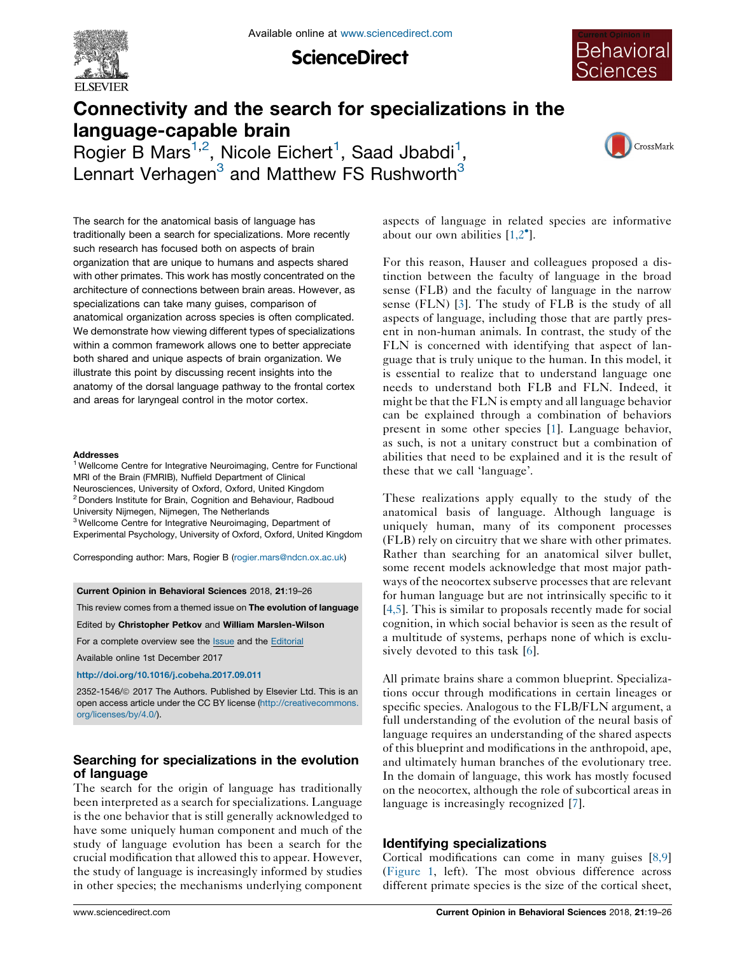

**ScienceDirect** 



# Connectivity and the search for specializations in the language-capable brain

Rogier B Mars $^{1,2}$ , Nicole Eichert<sup>1</sup>, Saad Jbabdi<sup>1</sup>, Lennart Verhagen<sup>3</sup> and Matthew FS Rushworth<sup>3</sup>



The search for the anatomical basis of language has traditionally been a search for specializations. More recently such research has focused both on aspects of brain organization that are unique to humans and aspects shared with other primates. This work has mostly concentrated on the architecture of connections between brain areas. However, as specializations can take many guises, comparison of anatomical organization across species is often complicated. We demonstrate how viewing different types of specializations within a common framework allows one to better appreciate both shared and unique aspects of brain organization. We illustrate this point by discussing recent insights into the anatomy of the dorsal language pathway to the frontal cortex and areas for laryngeal control in the motor cortex.

#### Addresses

<sup>1</sup> Wellcome Centre for Integrative Neuroimaging, Centre for Functional MRI of the Brain (FMRIB), Nuffield Department of Clinical Neurosciences, University of Oxford, Oxford, United Kingdom <sup>2</sup> Donders Institute for Brain, Cognition and Behaviour, Radboud University Nijmegen, Nijmegen, The Netherlands <sup>3</sup> Wellcome Centre for Integrative Neuroimaging, Department of Experimental Psychology, University of Oxford, Oxford, United Kingdom

Corresponding author: Mars, Rogier B ([rogier.mars@ndcn.ox.ac.uk](mailto:rogier.mars@ndcn.ox.ac.uk))

Current Opinion in Behavioral Sciences 2018, 21:19–26

This review comes from a themed issue on The evolution of language

Edited by Christopher Petkov and William Marslen-Wilson

For a complete overview see the Issue [and the](http://www.sciencedirect.com/science/journal/23521546/21) [Editorial](http://dx.doi.org/10.1016/j.cobeha.2018.06.002)

Available online 1st December 2017

[http://doi.org/10.1016/j.cobeha.2017.09.011](http://dx.doi.org/10.1016/j.cobeha.2017.09.011)

2352-1546/ã 2017 The Authors. Published by Elsevier Ltd. This is an open access article under the CC BY license [\(http://creativecommons.](http://creativecommons.org/licenses/by/4.0/) [org/licenses/by/4.0/](http://creativecommons.org/licenses/by/4.0/)).

## Searching for specializations in the evolution of language

The search for the origin of language has traditionally been interpreted as a search for specializations. Language is the one behavior that is still generally acknowledged to have some uniquely human component and much of the study of language evolution has been a search for the crucial modification that allowed this to appear. However, the study of language is increasingly informed by studies in other species; the mechanisms underlying component aspects of language in related species are informative about our own abilities  $[1,2^{\bullet}]$  $[1,2^{\bullet}]$ .

For this reason, Hauser and colleagues proposed a distinction between the faculty of language in the broad sense (FLB) and the faculty of language in the narrow sense (FLN) [\[3](#page-6-0)]. The study of FLB is the study of all aspects of language, including those that are partly present in non-human animals. In contrast, the study of the FLN is concerned with identifying that aspect of language that is truly unique to the human. In this model, it is essential to realize that to understand language one needs to understand both FLB and FLN. Indeed, it might be that the FLN is empty and all language behavior can be explained through a combination of behaviors present in some other species [[1\]](#page-6-0). Language behavior, as such, is not a unitary construct but a combination of abilities that need to be explained and it is the result of these that we call 'language'.

These realizations apply equally to the study of the anatomical basis of language. Although language is uniquely human, many of its component processes (FLB) rely on circuitry that we share with other primates. Rather than searching for an anatomical silver bullet, some recent models acknowledge that most major pathways of the neocortex subserve processes that are relevant for human language but are not intrinsically specific to it [[4,5\]](#page-6-0). This is similar to proposals recently made for social cognition, in which social behavior is seen as the result of a multitude of systems, perhaps none of which is exclu-sively devoted to this task [[6\]](#page-6-0).

All primate brains share a common blueprint. Specializations occur through modifications in certain lineages or specific species. Analogous to the FLB/FLN argument, a full understanding of the evolution of the neural basis of language requires an understanding of the shared aspects of this blueprint and modifications in the anthropoid, ape, and ultimately human branches of the evolutionary tree. In the domain of language, this work has mostly focused on the neocortex, although the role of subcortical areas in language is increasingly recognized [[7\]](#page-6-0).

# Identifying specializations

Cortical modifications can come in many guises [[8,9](#page-6-0)] ([Figure 1,](#page-1-0) left). The most obvious difference across different primate species is the size of the cortical sheet,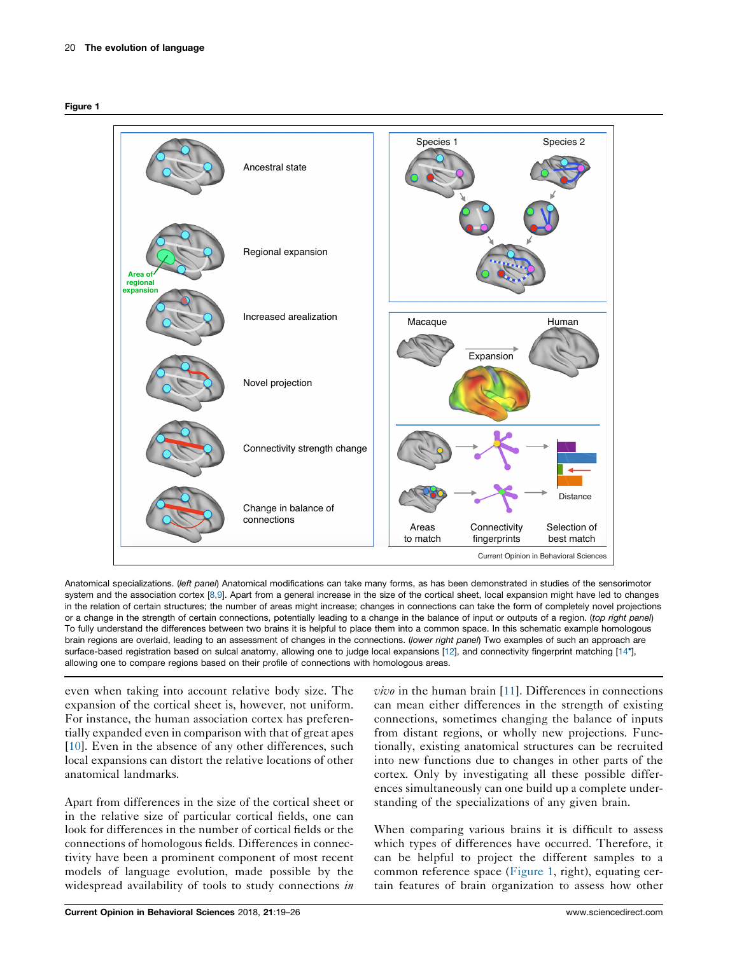<span id="page-1-0"></span>



Anatomical specializations. (left panel) Anatomical modifications can take many forms, as has been demonstrated in studies of the sensorimotor system and the association cortex [\[8,9\]](#page-6-0). Apart from a general increase in the size of the cortical sheet, local expansion might have led to changes in the relation of certain structures; the number of areas might increase; changes in connections can take the form of completely novel projections or a change in the strength of certain connections, potentially leading to a change in the balance of input or outputs of a region. (top right panel) To fully understand the differences between two brains it is helpful to place them into a common space. In this schematic example homologous brain regions are overlaid, leading to an assessment of changes in the connections. (lower right panel) Two examples of such an approach are surface-based registration based on sulcal anatomy, allowing one to judge local expansions [[12\]](#page-6-0), and connectivity fingerprint matching [[14](#page-6-0) ], allowing one to compare regions based on their profile of connections with homologous areas.

even when taking into account relative body size. The expansion of the cortical sheet is, however, not uniform. For instance, the human association cortex has preferentially expanded even in comparison with that of great apes [\[10](#page-6-0)]. Even in the absence of any other differences, such local expansions can distort the relative locations of other anatomical landmarks.

Apart from differences in the size of the cortical sheet or in the relative size of particular cortical fields, one can look for differences in the number of cortical fields or the connections of homologous fields. Differences in connectivity have been a prominent component of most recent models of language evolution, made possible by the widespread availability of tools to study connections in

 $vivo$  in the human brain  $[11]$  $[11]$ . Differences in connections can mean either differences in the strength of existing connections, sometimes changing the balance of inputs from distant regions, or wholly new projections. Functionally, existing anatomical structures can be recruited into new functions due to changes in other parts of the cortex. Only by investigating all these possible differences simultaneously can one build up a complete understanding of the specializations of any given brain.

When comparing various brains it is difficult to assess which types of differences have occurred. Therefore, it can be helpful to project the different samples to a common reference space (Figure 1, right), equating certain features of brain organization to assess how other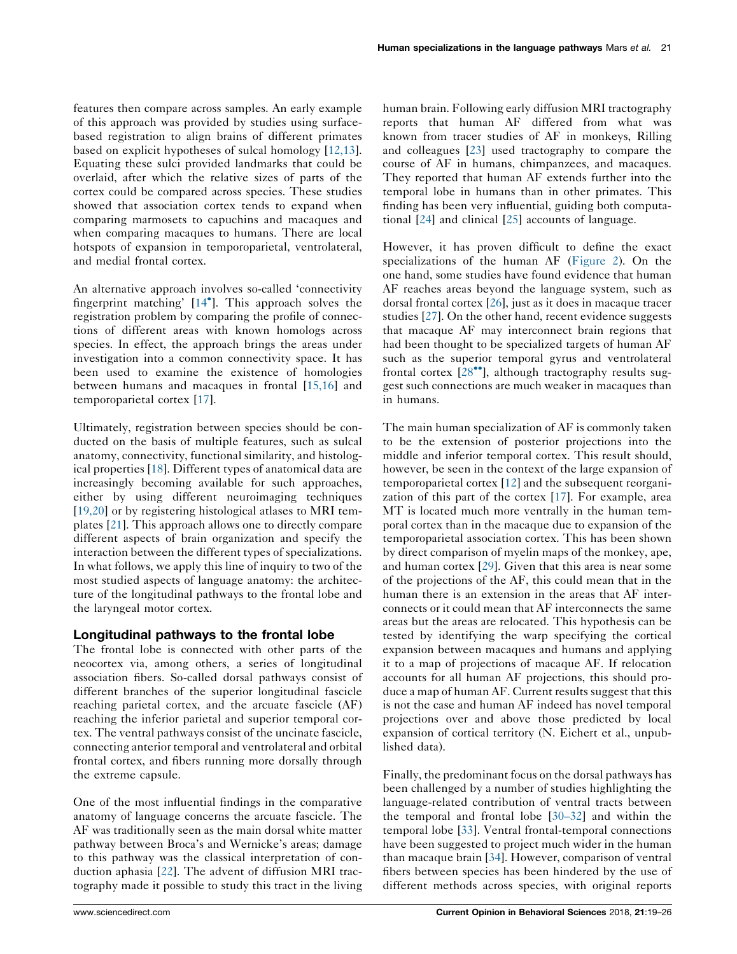features then compare across samples. An early example of this approach was provided by studies using surfacebased registration to align brains of different primates based on explicit hypotheses of sulcal homology [[12,13](#page-6-0)]. Equating these sulci provided landmarks that could be overlaid, after which the relative sizes of parts of the cortex could be compared across species. These studies showed that association cortex tends to expand when comparing marmosets to capuchins and macaques and when comparing macaques to humans. There are local hotspots of expansion in temporoparietal, ventrolateral, and medial frontal cortex.

An alternative approach involves so-called 'connectivity fingerprint matching' [14 [\]. This approach solves the](#page-6-0) registration problem by comparing the profile of connections of different areas with known homologs across species. In effect, the approach brings the areas under investigation into a common connectivity space. It has been used to examine the existence of homologies between humans and macaques in frontal [\[15,16\]](#page-6-0) and temporoparietal cortex [\[17](#page-6-0)].

Ultimately, registration between species should be conducted on the basis of multiple features, such as sulcal anatomy, connectivity, functional similarity, and histological properties [[18\]](#page-6-0). Different types of anatomical data are increasingly becoming available for such approaches, either by using different neuroimaging techniques [\[19,20\]](#page-6-0) or by registering histological atlases to MRI templates [[21\]](#page-6-0). This approach allows one to directly compare different aspects of brain organization and specify the interaction between the different types of specializations. In what follows, we apply this line of inquiry to two of the most studied aspects of language anatomy: the architecture of the longitudinal pathways to the frontal lobe and the laryngeal motor cortex.

#### Longitudinal pathways to the frontal lobe

The frontal lobe is connected with other parts of the neocortex via, among others, a series of longitudinal association fibers. So-called dorsal pathways consist of different branches of the superior longitudinal fascicle reaching parietal cortex, and the arcuate fascicle (AF) reaching the inferior parietal and superior temporal cortex. The ventral pathways consist of the uncinate fascicle, connecting anterior temporal and ventrolateral and orbital frontal cortex, and fibers running more dorsally through the extreme capsule.

One of the most influential findings in the comparative anatomy of language concerns the arcuate fascicle. The AF was traditionally seen as the main dorsal white matter pathway between Broca's and Wernicke's areas; damage to this pathway was the classical interpretation of conduction aphasia [[22\]](#page-6-0). The advent of diffusion MRI tractography made it possible to study this tract in the living human brain. Following early diffusion MRI tractography reports that human AF differed from what was known from tracer studies of AF in monkeys, Rilling and colleagues [\[23](#page-6-0)] used tractography to compare the course of AF in humans, chimpanzees, and macaques. They reported that human AF extends further into the temporal lobe in humans than in other primates. This finding has been very influential, guiding both computational [[24\]](#page-6-0) and clinical [[25\]](#page-6-0) accounts of language.

However, it has proven difficult to define the exact specializations of the human AF [\(Figure 2](#page-3-0)). On the one hand, some studies have found evidence that human AF reaches areas beyond the language system, such as dorsal frontal cortex [\[26](#page-6-0)], just as it does in macaque tracer studies [[27\]](#page-6-0). On the other hand, recent evidence suggests that macaque AF may interconnect brain regions that had been thought to be specialized targets of human AF such as the superior temporal gyrus and ventrolateral frontal cortex  $[28\text{°}$ <sup>\*</sup>[\], although tractography results sug](#page-6-0)gest such connections are much weaker in macaques than in humans.

The main human specialization of AF is commonly taken to be the extension of posterior projections into the middle and inferior temporal cortex. This result should, however, be seen in the context of the large expansion of temporoparietal cortex [[12\]](#page-6-0) and the subsequent reorganization of this part of the cortex [[17](#page-6-0)]. For example, area MT is located much more ventrally in the human temporal cortex than in the macaque due to expansion of the temporoparietal association cortex. This has been shown by direct comparison of myelin maps of the monkey, ape, and human cortex [[29\]](#page-6-0). Given that this area is near some of the projections of the AF, this could mean that in the human there is an extension in the areas that AF interconnects or it could mean that AF interconnects the same areas but the areas are relocated. This hypothesis can be tested by identifying the warp specifying the cortical expansion between macaques and humans and applying it to a map of projections of macaque AF. If relocation accounts for all human AF projections, this should produce a map of human AF. Current results suggest that this is not the case and human AF indeed has novel temporal projections over and above those predicted by local expansion of cortical territory (N. Eichert et al., unpublished data).

Finally, the predominant focus on the dorsal pathways has been challenged by a number of studies highlighting the language-related contribution of ventral tracts between the temporal and frontal lobe [\[30–32\]](#page-6-0) and within the temporal lobe [\[33](#page-6-0)]. Ventral frontal-temporal connections have been suggested to project much wider in the human than macaque brain [\[34](#page-6-0)]. However, comparison of ventral fibers between species has been hindered by the use of different methods across species, with original reports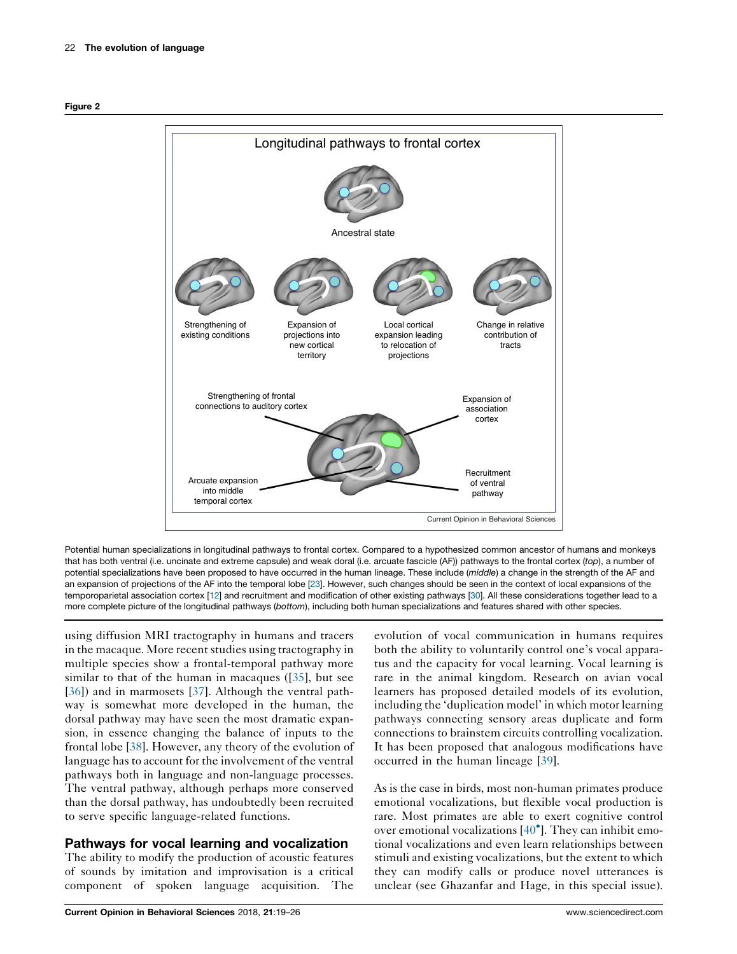<span id="page-3-0"></span>



Potential human specializations in longitudinal pathways to frontal cortex. Compared to a hypothesized common ancestor of humans and monkeys that has both ventral (i.e. uncinate and extreme capsule) and weak doral (i.e. arcuate fascicle (AF)) pathways to the frontal cortex (top), a number of potential specializations have been proposed to have occurred in the human lineage. These include (middle) a change in the strength of the AF and an expansion of projections of the AF into the temporal lobe [\[23](#page-6-0)]. However, such changes should be seen in the context of local expansions of the temporoparietal association cortex [\[12](#page-6-0)] and recruitment and modification of other existing pathways [\[30](#page-6-0)]. All these considerations together lead to a more complete picture of the longitudinal pathways (bottom), including both human specializations and features shared with other species.

using diffusion MRI tractography in humans and tracers in the macaque. More recent studies using tractography in multiple species show a frontal-temporal pathway more similar to that of the human in macaques ([\[35](#page-6-0)], but see [\[36](#page-7-0)]) and in marmosets [[37\]](#page-7-0). Although the ventral pathway is somewhat more developed in the human, the dorsal pathway may have seen the most dramatic expansion, in essence changing the balance of inputs to the frontal lobe [[38\]](#page-7-0). However, any theory of the evolution of language has to account for the involvement of the ventral pathways both in language and non-language processes. The ventral pathway, although perhaps more conserved than the dorsal pathway, has undoubtedly been recruited to serve specific language-related functions.

# Pathways for vocal learning and vocalization

The ability to modify the production of acoustic features of sounds by imitation and improvisation is a critical component of spoken language acquisition. The

evolution of vocal communication in humans requires both the ability to voluntarily control one's vocal apparatus and the capacity for vocal learning. Vocal learning is rare in the animal kingdom. Research on avian vocal learners has proposed detailed models of its evolution, including the 'duplication model' in which motor learning pathways connecting sensory areas duplicate and form connections to brainstem circuits controlling vocalization. It has been proposed that analogous modifications have occurred in the human lineage [[39\]](#page-7-0).

As is the case in birds, most non-human primates produce emotional vocalizations, but flexible vocal production is rare. Most primates are able to exert cognitive control over emotional vocalizations [40<sup>°</sup>[\]. They can inhibit emo](#page-7-0)tional vocalizations and even learn relationships between stimuli and existing vocalizations, but the extent to which they can modify calls or produce novel utterances is unclear (see Ghazanfar and Hage, in this special issue).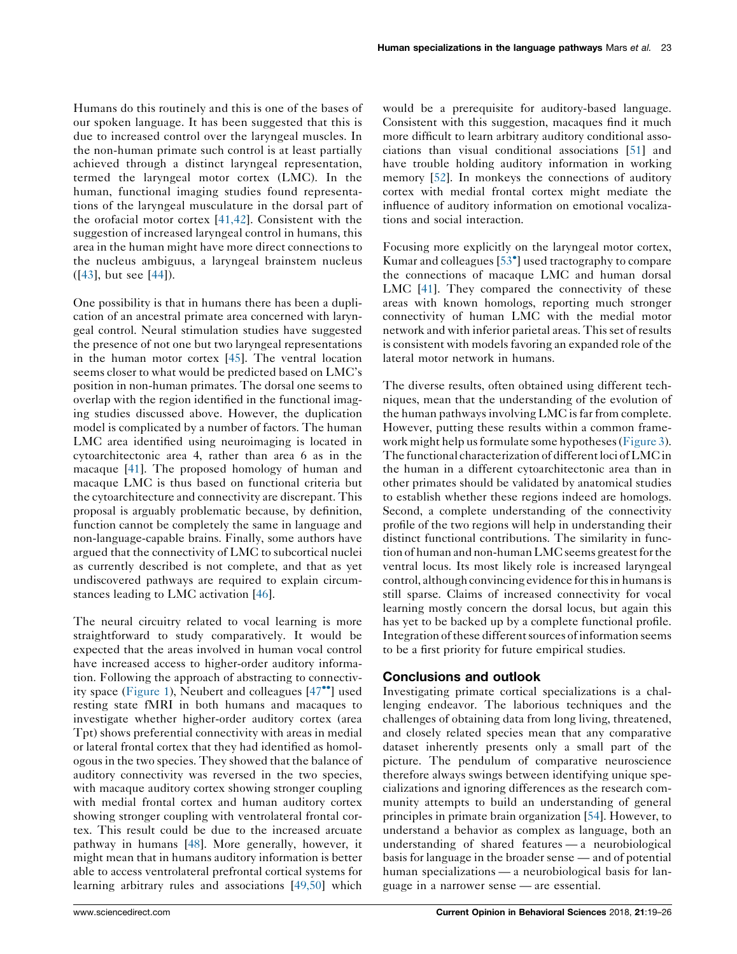Humans do this routinely and this is one of the bases of our spoken language. It has been suggested that this is due to increased control over the laryngeal muscles. In the non-human primate such control is at least partially achieved through a distinct laryngeal representation, termed the laryngeal motor cortex (LMC). In the human, functional imaging studies found representations of the laryngeal musculature in the dorsal part of the orofacial motor cortex [[41,42\]](#page-7-0). Consistent with the suggestion of increased laryngeal control in humans, this area in the human might have more direct connections to the nucleus ambiguus, a laryngeal brainstem nucleus ([[43\]](#page-7-0), but see [\[44](#page-7-0)]).

One possibility is that in humans there has been a duplication of an ancestral primate area concerned with laryngeal control. Neural stimulation studies have suggested the presence of not one but two laryngeal representations in the human motor cortex [\[45](#page-7-0)]. The ventral location seems closer to what would be predicted based on LMC's position in non-human primates. The dorsal one seems to overlap with the region identified in the functional imaging studies discussed above. However, the duplication model is complicated by a number of factors. The human LMC area identified using neuroimaging is located in cytoarchitectonic area 4, rather than area 6 as in the macaque [[41\]](#page-7-0). The proposed homology of human and macaque LMC is thus based on functional criteria but the cytoarchitecture and connectivity are discrepant. This proposal is arguably problematic because, by definition, function cannot be completely the same in language and non-language-capable brains. Finally, some authors have argued that the connectivity of LMC to subcortical nuclei as currently described is not complete, and that as yet undiscovered pathways are required to explain circumstances leading to LMC activation [\[46](#page-7-0)].

The neural circuitry related to vocal learning is more straightforward to study comparatively. It would be expected that the areas involved in human vocal control have increased access to higher-order auditory information. Following the approach of abstracting to connectiv-ity space ([Figure 1\)](#page-1-0), Neubert and colleagues  $[47\degree]$  used resting state fMRI in both humans and macaques to investigate whether higher-order auditory cortex (area Tpt) shows preferential connectivity with areas in medial or lateral frontal cortex that they had identified as homologous in the two species. They showed that the balance of auditory connectivity was reversed in the two species, with macaque auditory cortex showing stronger coupling with medial frontal cortex and human auditory cortex showing stronger coupling with ventrolateral frontal cortex. This result could be due to the increased arcuate pathway in humans [\[48](#page-7-0)]. More generally, however, it might mean that in humans auditory information is better able to access ventrolateral prefrontal cortical systems for learning arbitrary rules and associations [[49,50](#page-7-0)] which

would be a prerequisite for auditory-based language. Consistent with this suggestion, macaques find it much more difficult to learn arbitrary auditory conditional associations than visual conditional associations [[51\]](#page-7-0) and have trouble holding auditory information in working memory [[52\]](#page-7-0). In monkeys the connections of auditory cortex with medial frontal cortex might mediate the influence of auditory information on emotional vocalizations and social interaction.

Focusing more explicitly on the laryngeal motor cortex, Kumar and colleagues [53 [\] used tractography to compare](#page-7-0) the connections of macaque LMC and human dorsal LMC [\[41](#page-7-0)]. They compared the connectivity of these areas with known homologs, reporting much stronger connectivity of human LMC with the medial motor network and with inferior parietal areas. This set of results is consistent with models favoring an expanded role of the lateral motor network in humans.

The diverse results, often obtained using different techniques, mean that the understanding of the evolution of the human pathways involving LMC is far from complete. However, putting these results within a common framework might help us formulate some hypotheses ([Figure 3\)](#page-5-0). The functional characterization of different loci of LMC in the human in a different cytoarchitectonic area than in other primates should be validated by anatomical studies to establish whether these regions indeed are homologs. Second, a complete understanding of the connectivity profile of the two regions will help in understanding their distinct functional contributions. The similarity in function of human and non-human LMC seems greatest for the ventral locus. Its most likely role is increased laryngeal control, although convincing evidence for this in humans is still sparse. Claims of increased connectivity for vocal learning mostly concern the dorsal locus, but again this has yet to be backed up by a complete functional profile. Integration of these different sources of information seems to be a first priority for future empirical studies.

#### Conclusions and outlook

Investigating primate cortical specializations is a challenging endeavor. The laborious techniques and the challenges of obtaining data from long living, threatened, and closely related species mean that any comparative dataset inherently presents only a small part of the picture. The pendulum of comparative neuroscience therefore always swings between identifying unique specializations and ignoring differences as the research community attempts to build an understanding of general principles in primate brain organization [[54\]](#page-7-0). However, to understand a behavior as complex as language, both an understanding of shared features — a neurobiological basis for language in the broader sense — and of potential human specializations — a neurobiological basis for language in a narrower sense — are essential.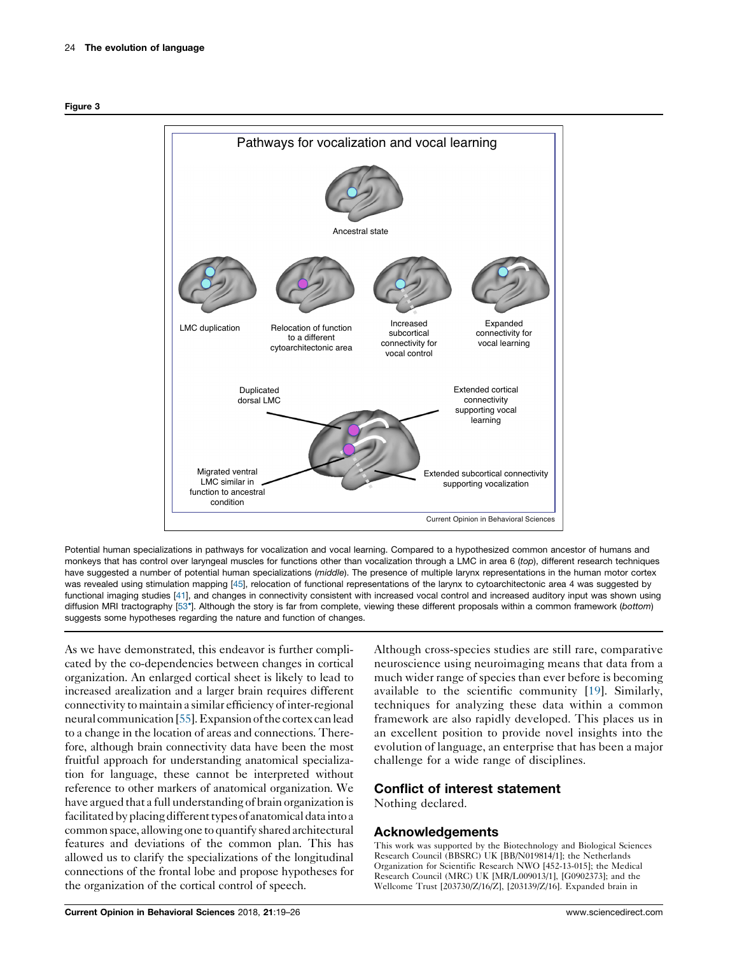<span id="page-5-0"></span>



Potential human specializations in pathways for vocalization and vocal learning. Compared to a hypothesized common ancestor of humans and monkeys that has control over laryngeal muscles for functions other than vocalization through a LMC in area 6 (top), different research techniques have suggested a number of potential human specializations (middle). The presence of multiple larynx representations in the human motor cortex was revealed using stimulation mapping [[45](#page-7-0)], relocation of functional representations of the larynx to cytoarchitectonic area 4 was suggested by functional imaging studies [\[41\]](#page-7-0), and changes in connectivity consistent with increased vocal control and increased auditory input was shown using diffusion MRI tractography [53\*[\]. Although the story is far from complete, viewing these different proposals within a common framework \(](#page-7-0)b*ottom*) suggests some hypotheses regarding the nature and function of changes.

As we have demonstrated, this endeavor is further complicated by the co-dependencies between changes in cortical organization. An enlarged cortical sheet is likely to lead to increased arealization and a larger brain requires different connectivity to maintain a similar efficiency of inter-regional neural communication [\[55\]](#page-7-0). Expansion of the cortex canlead to a change in the location of areas and connections. Therefore, although brain connectivity data have been the most fruitful approach for understanding anatomical specialization for language, these cannot be interpreted without reference to other markers of anatomical organization. We have argued that a full understanding of brain organization is facilitated by placing different types of anatomical data into a common space, allowing one to quantify shared architectural features and deviations of the common plan. This has allowed us to clarify the specializations of the longitudinal connections of the frontal lobe and propose hypotheses for the organization of the cortical control of speech.

Although cross-species studies are still rare, comparative neuroscience using neuroimaging means that data from a much wider range of species than ever before is becoming available to the scientific community [\[19](#page-6-0)]. Similarly, techniques for analyzing these data within a common framework are also rapidly developed. This places us in an excellent position to provide novel insights into the evolution of language, an enterprise that has been a major challenge for a wide range of disciplines.

# Conflict of interest statement

Nothing declared.

### Acknowledgements

This work was supported by the Biotechnology and Biological Sciences Research Council (BBSRC) UK [BB/N019814/1]; the Netherlands Organization for Scientific Research NWO [452-13-015]; the Medical Research Council (MRC) UK [MR/L009013/1], [G0902373]; and the Wellcome Trust [203730/Z/16/Z], [203139/Z/16]. Expanded brain in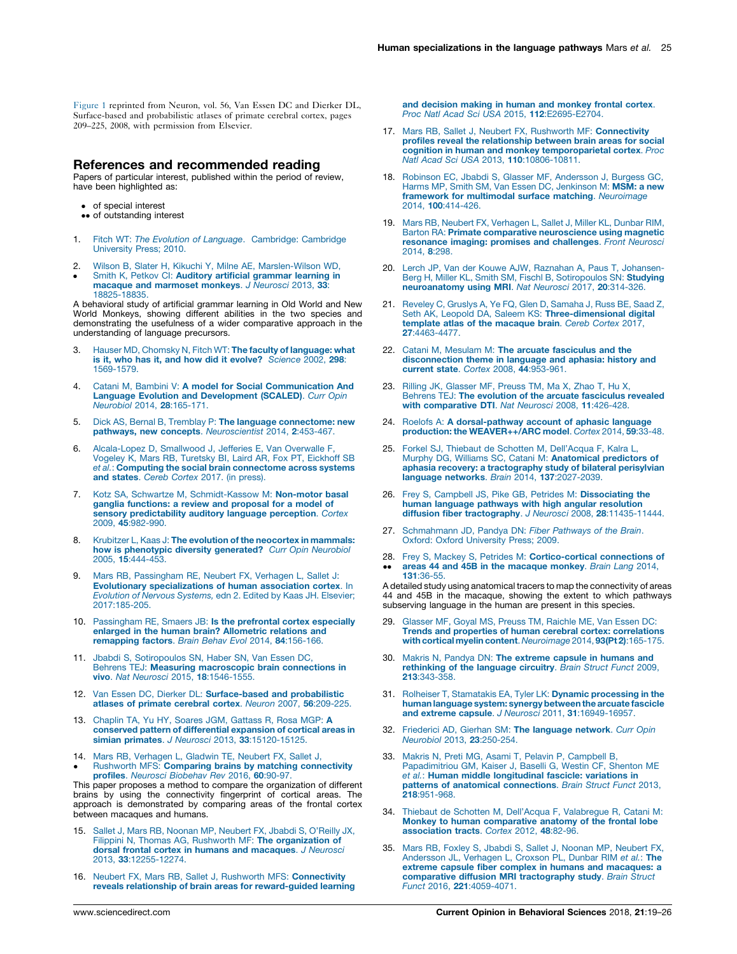<span id="page-6-0"></span>[Figure 1](#page-1-0) reprinted from Neuron, vol. 56, Van Essen DC and Dierker DL, Surface-based and probabilistic atlases of primate cerebral cortex, pages 209–225, 2008, with permission from Elsevier.

#### References and recommended reading

Papers of particular interest, published within the period of review, have been highlighted as:

- of special interest
- •• of outstanding interest
- 1. Fitch WT: [The Evolution of Language](http://refhub.elsevier.com/S2352-1546(17)30181-X/sbref0005). Cambridge: Cambridge [University Press; 2010.](http://refhub.elsevier.com/S2352-1546(17)30181-X/sbref0005)
- 2. [Wilson B, Slater H, Kikuchi Y, Milne AE, Marslen-Wilson WD,](http://refhub.elsevier.com/S2352-1546(17)30181-X/sbref0010)
- $\bullet$ Smith K, Petkov CI: [Auditory artificial grammar learning in](http://refhub.elsevier.com/S2352-1546(17)30181-X/sbref0010) [macaque and marmoset monkeys](http://refhub.elsevier.com/S2352-1546(17)30181-X/sbref0010). J Neurosci 2013, 33 [18825-18835.](http://refhub.elsevier.com/S2352-1546(17)30181-X/sbref0010)

A behavioral study of artificial grammar learning in Old World and New World Monkeys, showing different abilities in the two species and demonstrating the usefulness of a wider comparative approach in the understanding of language precursors.

- 3. [Hauser MD, Chomsky N, Fitch WT:](http://refhub.elsevier.com/S2352-1546(17)30181-X/sbref0015) The faculty of language: what [is it, who has it, and how did it evolve?](http://refhub.elsevier.com/S2352-1546(17)30181-X/sbref0015) Science 2002, 298: [1569-1579.](http://refhub.elsevier.com/S2352-1546(17)30181-X/sbref0015)
- 4. Catani M, Bambini V: [A model for Social Communication And](http://refhub.elsevier.com/S2352-1546(17)30181-X/sbref0020) [Language Evolution and Development \(SCALED\)](http://refhub.elsevier.com/S2352-1546(17)30181-X/sbref0020). Curr Opin [Neurobiol](http://refhub.elsevier.com/S2352-1546(17)30181-X/sbref0020) 2014, 28:165-171.
- 5. Dick AS, Bernal B, Tremblay P: [The language connectome: new](http://refhub.elsevier.com/S2352-1546(17)30181-X/sbref0025) [pathways, new concepts](http://refhub.elsevier.com/S2352-1546(17)30181-X/sbref0025). Neuroscientist 2014, 2:453-467.
- 6. [Alcala-Lopez D, Smallwood J, Jefferies E, Van Overwalle F,](http://refhub.elsevier.com/S2352-1546(17)30181-X/sbref0030) [Vogeley K, Mars RB, Turetsky BI, Laird AR, Fox PT, Eickhoff SB](http://refhub.elsevier.com/S2352-1546(17)30181-X/sbref0030) et al.: [Computing the social brain connectome across systems](http://refhub.elsevier.com/S2352-1546(17)30181-X/sbref0030) and states. Cereb Cortex [2017. \(in press\).](http://refhub.elsevier.com/S2352-1546(17)30181-X/sbref0030)
- 7. [Kotz SA, Schwartze M, Schmidt-Kassow M:](http://refhub.elsevier.com/S2352-1546(17)30181-X/sbref0035) Non-motor basal [ganglia functions: a review and proposal for a model of](http://refhub.elsevier.com/S2352-1546(17)30181-X/sbref0035) [sensory predictability auditory language perception](http://refhub.elsevier.com/S2352-1546(17)30181-X/sbref0035). Cortex 2009, 45[:982-990.](http://refhub.elsevier.com/S2352-1546(17)30181-X/sbref0035)
- Krubitzer L, Kaas J: [The evolution of the neocortex in mammals:](http://refhub.elsevier.com/S2352-1546(17)30181-X/sbref0040) [how is phenotypic diversity generated?](http://refhub.elsevier.com/S2352-1546(17)30181-X/sbref0040) Curr Opin Neurobiol 2005, 15[:444-453.](http://refhub.elsevier.com/S2352-1546(17)30181-X/sbref0040)
- 9. [Mars RB, Passingham RE, Neubert FX, Verhagen L, Sallet J:](http://refhub.elsevier.com/S2352-1546(17)30181-X/sbref0045) **[Evolutionary specializations of human association cortex](http://refhub.elsevier.com/S2352-1546(17)30181-X/sbref0045)**. In<br>*Evolution of Nervous Systems,* [edn 2. Edited by Kaas JH. Elsevier;](http://refhub.elsevier.com/S2352-1546(17)30181-X/sbref0045) [2017:185-205.](http://refhub.elsevier.com/S2352-1546(17)30181-X/sbref0045)
- 10. Passingham RE, Smaers JB: [Is the prefrontal cortex especially](http://refhub.elsevier.com/S2352-1546(17)30181-X/sbref0050) [enlarged in the human brain? Allometric relations and](http://refhub.elsevier.com/S2352-1546(17)30181-X/sbref0050) [remapping factors](http://refhub.elsevier.com/S2352-1546(17)30181-X/sbref0050). Brain Behav Evol 2014, 84:156-166.
- 11. [Jbabdi S, Sotiropoulos SN, Haber SN, Van Essen DC,](http://refhub.elsevier.com/S2352-1546(17)30181-X/sbref0055) Behrens TEJ: [Measuring macroscopic brain connections in](http://refhub.elsevier.com/S2352-1546(17)30181-X/sbref0055) vivo. [Nat Neurosci](http://refhub.elsevier.com/S2352-1546(17)30181-X/sbref0055) 2015, 18:1546-1555.
- 12. Van Essen DC, Dierker DL: [Surface-based and probabilistic](http://refhub.elsevier.com/S2352-1546(17)30181-X/sbref0060) [atlases of primate cerebral cortex](http://refhub.elsevier.com/S2352-1546(17)30181-X/sbref0060). Neuron 2007, 56:209-225.
- 13. [Chaplin TA, Yu HY, Soares JGM, Gattass R, Rosa MGP:](http://refhub.elsevier.com/S2352-1546(17)30181-X/sbref0065) A [conserved pattern of differential expansion of cortical areas in](http://refhub.elsevier.com/S2352-1546(17)30181-X/sbref0065) [simian primates](http://refhub.elsevier.com/S2352-1546(17)30181-X/sbref0065). J Neurosci 2013, 33:15120-15125.
- 14. [Mars RB, Verhagen L, Gladwin TE, Neubert FX, Sallet J,](http://refhub.elsevier.com/S2352-1546(17)30181-X/sbref0070)
- $\bullet$ Rushworth MFS: [Comparing brains by matching connectivity](http://refhub.elsevier.com/S2352-1546(17)30181-X/sbref0070) profiles. [Neurosci Biobehav Rev](http://refhub.elsevier.com/S2352-1546(17)30181-X/sbref0070) 2016, 60:90-97.

This paper proposes a method to compare the organization of different brains by using the connectivity fingerprint of cortical areas. The approach is demonstrated by comparing areas of the frontal cortex between macaques and humans.

- 15. [Sallet J, Mars RB, Noonan MP, Neubert FX, Jbabdi S, O'Reilly JX,](http://refhub.elsevier.com/S2352-1546(17)30181-X/sbref0075) [Filippini N, Thomas AG, Rushworth MF:](http://refhub.elsevier.com/S2352-1546(17)30181-X/sbref0075) The organization of [dorsal frontal cortex in humans and macaques](http://refhub.elsevier.com/S2352-1546(17)30181-X/sbref0075). J Neurosci 2013, 33[:12255-12274.](http://refhub.elsevier.com/S2352-1546(17)30181-X/sbref0075)
- 16. [Neubert FX, Mars RB, Sallet J, Rushworth MFS:](http://refhub.elsevier.com/S2352-1546(17)30181-X/sbref0080) Connectivity [reveals relationship of brain areas for reward-guided learning](http://refhub.elsevier.com/S2352-1546(17)30181-X/sbref0080)

[and decision making in human and monkey frontal cortex](http://refhub.elsevier.com/S2352-1546(17)30181-X/sbref0080). [Proc Natl Acad Sci USA](http://refhub.elsevier.com/S2352-1546(17)30181-X/sbref0080) 2015, **112:**E2695-E27

- 17. Mars RB, Sallet J. Neubert FX, Rushworth MF: Connectivity [profiles reveal the relationship between brain areas for social](http://refhub.elsevier.com/S2352-1546(17)30181-X/sbref0085) [cognition in human and monkey temporoparietal cortex](http://refhub.elsevier.com/S2352-1546(17)30181-X/sbref0085). Proc [Natl Acad Sci USA](http://refhub.elsevier.com/S2352-1546(17)30181-X/sbref0085) 2013, 110:10806-10811.
- 18. [Robinson EC, Jbabdi S, Glasser MF, Andersson J, Burgess GC,](http://refhub.elsevier.com/S2352-1546(17)30181-X/sbref0090) [Harms MP, Smith SM, Van Essen DC, Jenkinson M:](http://refhub.elsevier.com/S2352-1546(17)30181-X/sbref0090) MSM: a new [framework for multimodal surface matching](http://refhub.elsevier.com/S2352-1546(17)30181-X/sbref0090). Neuroimage 2014, 100[:414-426.](http://refhub.elsevier.com/S2352-1546(17)30181-X/sbref0090)
- 19. [Mars RB, Neubert FX, Verhagen L, Sallet J, Miller KL, Dunbar RIM,](http://refhub.elsevier.com/S2352-1546(17)30181-X/sbref0095) Barton RA: [Primate comparative neuroscience using magnetic](http://refhub.elsevier.com/S2352-1546(17)30181-X/sbref0095) [resonance imaging: promises and challenges](http://refhub.elsevier.com/S2352-1546(17)30181-X/sbref0095). Front Neurosci [2014,](http://refhub.elsevier.com/S2352-1546(17)30181-X/sbref0095) 8:298.
- 20. [Lerch JP, Van der Kouwe AJW, Raznahan A, Paus T, Johansen-](http://refhub.elsevier.com/S2352-1546(17)30181-X/sbref0100)[Berg H, Miller KL, Smith SM, Fischl B, Sotiropoulos SN:](http://refhub.elsevier.com/S2352-1546(17)30181-X/sbref0100) Studying [neuroanatomy using MRI](http://refhub.elsevier.com/S2352-1546(17)30181-X/sbref0100). Nat Neurosci 2017, 20:314-326.
- 21. [Reveley C, Gruslys A, Ye FQ, Glen D, Samaha J, Russ BE, Saad Z,](http://refhub.elsevier.com/S2352-1546(17)30181-X/sbref0105) [Seth AK, Leopold DA, Saleem KS:](http://refhub.elsevier.com/S2352-1546(17)30181-X/sbref0105) Three-dimensional digital [template atlas of the macaque brain](http://refhub.elsevier.com/S2352-1546(17)30181-X/sbref0105). Cereb Cortex 2017, 27[:4463-4477.](http://refhub.elsevier.com/S2352-1546(17)30181-X/sbref0105)
- 22. Catani M, Mesulam M: [The arcuate fasciculus and the](http://refhub.elsevier.com/S2352-1546(17)30181-X/sbref0110) [disconnection theme in language and aphasia: history and](http://refhub.elsevier.com/S2352-1546(17)30181-X/sbref0110) [current state](http://refhub.elsevier.com/S2352-1546(17)30181-X/sbref0110). Cortex 2008, 44:953-961.
- 23. [Rilling JK, Glasser MF, Preuss TM, Ma X, Zhao T, Hu X,](http://refhub.elsevier.com/S2352-1546(17)30181-X/sbref0115) Behrens TEJ: [The evolution of the arcuate fasciculus revealed](http://refhub.elsevier.com/S2352-1546(17)30181-X/sbref0115) [with comparative DTI](http://refhub.elsevier.com/S2352-1546(17)30181-X/sbref0115). Nat Neurosci 2008, 11:426-428.
- 24. Roelofs A: [A dorsal-pathway account of aphasic language](http://refhub.elsevier.com/S2352-1546(17)30181-X/sbref0120) [production: the WEAVER++/ARC model](http://refhub.elsevier.com/S2352-1546(17)30181-X/sbref0120). Cortex 2014, 59:33-48.
- 25. [Forkel SJ, Thiebaut de Schotten M, Dell'Acqua F, Kalra L,](http://refhub.elsevier.com/S2352-1546(17)30181-X/sbref0125) [Murphy DG, Williams SC, Catani M:](http://refhub.elsevier.com/S2352-1546(17)30181-X/sbref0125) Anatomical predictors of [aphasia recovery: a tractography study of bilateral perisylvian](http://refhub.elsevier.com/S2352-1546(17)30181-X/sbref0125) [language networks](http://refhub.elsevier.com/S2352-1546(17)30181-X/sbref0125). Brain 2014, 137:2027-2039.
- 26. [Frey S, Campbell JS, Pike GB, Petrides M:](http://refhub.elsevier.com/S2352-1546(17)30181-X/sbref0130) Dissociating the [human language pathways with high angular resolution](http://refhub.elsevier.com/S2352-1546(17)30181-X/sbref0130) [diffusion fiber tractography](http://refhub.elsevier.com/S2352-1546(17)30181-X/sbref0130). J Neurosci 2008, 28:11435-11444.
- 27. [Schmahmann JD, Pandya DN:](http://refhub.elsevier.com/S2352-1546(17)30181-X/sbref0135) Fiber Pathways of the Brain. [Oxford: Oxford University Press; 2009.](http://refhub.elsevier.com/S2352-1546(17)30181-X/sbref0135)
- 28. Frey S, Mackey S, Petrides M: [Cortico-cortical connections of](http://refhub.elsevier.com/S2352-1546(17)30181-X/sbref0140)  $\bullet\bullet$ [areas 44 and 45B in the macaque monkey](http://refhub.elsevier.com/S2352-1546(17)30181-X/sbref0140). Brain Lang 2014, 131[:36-55.](http://refhub.elsevier.com/S2352-1546(17)30181-X/sbref0140)

A detailed study using anatomical tracers to map the connectivity of areas 44 and 45B in the macaque, showing the extent to which pathways subserving language in the human are present in this species.

- [Glasser MF, Goyal MS, Preuss TM, Raichle ME, Van Essen DC:](http://refhub.elsevier.com/S2352-1546(17)30181-X/sbref0145) [Trends and properties of human cerebral cortex: correlations](http://refhub.elsevier.com/S2352-1546(17)30181-X/sbref0145) with cortical myelin content. Neuroimage 2014, 93(Pt 2):165-175.
- 30. Makris N, Pandya DN: [The extreme capsule in humans and](http://refhub.elsevier.com/S2352-1546(17)30181-X/sbref0150) [rethinking of the language circuitry](http://refhub.elsevier.com/S2352-1546(17)30181-X/sbref0150). Brain Struct Funct 2009, 213[:343-358.](http://refhub.elsevier.com/S2352-1546(17)30181-X/sbref0150)
- 31. [Rolheiser T, Stamatakis EA, Tyler LK:](http://refhub.elsevier.com/S2352-1546(17)30181-X/sbref0155) Dynamic processing in the [human language system: synergy between the arcuate fascicle](http://refhub.elsevier.com/S2352-1546(17)30181-X/sbref0155) [and extreme capsule](http://refhub.elsevier.com/S2352-1546(17)30181-X/sbref0155). J Neurosci 2011, 31:16949-16957.
- 32. [Friederici AD, Gierhan SM:](http://refhub.elsevier.com/S2352-1546(17)30181-X/sbref0160) The language network. Curr Opin [Neurobiol](http://refhub.elsevier.com/S2352-1546(17)30181-X/sbref0160) 2013, 23:250-254.
- 33. [Makris N, Preti MG, Asami T, Pelavin P, Campbell B,](http://refhub.elsevier.com/S2352-1546(17)30181-X/sbref0165) [Papadimitriou GM, Kaiser J, Baselli G, Westin CF, Shenton ME](http://refhub.elsevier.com/S2352-1546(17)30181-X/sbref0165) et al.: [Human middle longitudinal fascicle: variations in](http://refhub.elsevier.com/S2352-1546(17)30181-X/sbref0165) [patterns of anatomical connections](http://refhub.elsevier.com/S2352-1546(17)30181-X/sbref0165). Brain Struct Funct 2013, 218[:951-968.](http://refhub.elsevier.com/S2352-1546(17)30181-X/sbref0165)
- 34. [Thiebaut de Schotten M, Dell'Acqua F, Valabregue R, Catani M:](http://refhub.elsevier.com/S2352-1546(17)30181-X/sbref0170) [Monkey to human comparative anatomy of the frontal lobe](http://refhub.elsevier.com/S2352-1546(17)30181-X/sbref0170) [association tracts](http://refhub.elsevier.com/S2352-1546(17)30181-X/sbref0170). Cortex 2012, 48:82-96.
- 35. [Mars RB, Foxley S, Jbabdi S, Sallet J, Noonan MP, Neubert FX,](http://refhub.elsevier.com/S2352-1546(17)30181-X/sbref0175) [Andersson JL, Verhagen L, Croxson PL, Dunbar RIM](http://refhub.elsevier.com/S2352-1546(17)30181-X/sbref0175) et al.: The [extreme capsule fiber complex in humans and macaques: a](http://refhub.elsevier.com/S2352-1546(17)30181-X/sbref0175) [comparative diffusion MRI tractography study](http://refhub.elsevier.com/S2352-1546(17)30181-X/sbref0175). Brain Struct Funct 2016, 221[:4059-4071.](http://refhub.elsevier.com/S2352-1546(17)30181-X/sbref0175)